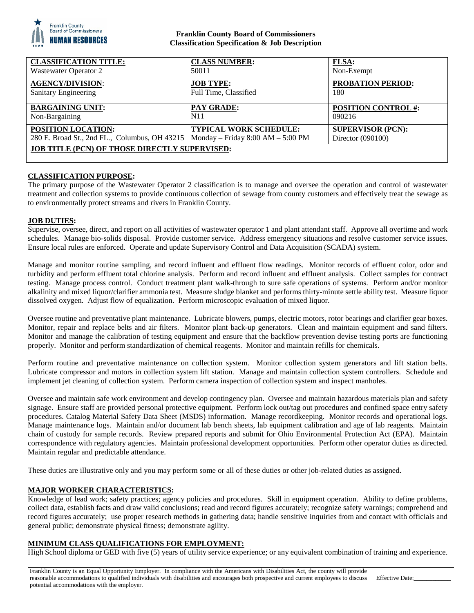

### **Franklin County Board of Commissioners Classification Specification & Job Description**

| <b>CLASSIFICATION TITLE:</b>                                                      | <b>CLASS NUMBER:</b>   | <b>FLSA:</b>               |
|-----------------------------------------------------------------------------------|------------------------|----------------------------|
| <b>Wastewater Operator 2</b>                                                      | 50011                  | Non-Exempt                 |
| <b>AGENCY/DIVISION:</b>                                                           | <b>JOB TYPE:</b>       | <b>PROBATION PERIOD:</b>   |
| Sanitary Engineering                                                              | Full Time, Classified  | 180                        |
| <b>BARGAINING UNIT:</b>                                                           | <b>PAY GRADE:</b>      | <b>POSITION CONTROL #:</b> |
| Non-Bargaining                                                                    | N <sub>1</sub> 1       | 090216                     |
| POSITION LOCATION:                                                                | TYPICAL WORK SCHEDULE: | <b>SUPERVISOR (PCN):</b>   |
| 280 E. Broad St., 2nd FL., Columbus, OH 43215   Monday – Friday 8:00 AM – 5:00 PM |                        | Director $(090100)$        |
| <b>JOB TITLE (PCN) OF THOSE DIRECTLY SUPERVISED:</b>                              |                        |                            |
|                                                                                   |                        |                            |

# **CLASSIFICATION PURPOSE:**

The primary purpose of the Wastewater Operator 2 classification is to manage and oversee the operation and control of wastewater treatment and collection systems to provide continuous collection of sewage from county customers and effectively treat the sewage as to environmentally protect streams and rivers in Franklin County.

### **JOB DUTIES:**

Supervise, oversee, direct, and report on all activities of wastewater operator 1 and plant attendant staff. Approve all overtime and work schedules. Manage bio-solids disposal. Provide customer service. Address emergency situations and resolve customer service issues. Ensure local rules are enforced. Operate and update Supervisory Control and Data Acquisition (SCADA) system.

Manage and monitor routine sampling, and record influent and effluent flow readings. Monitor records of effluent color, odor and turbidity and perform effluent total chlorine analysis. Perform and record influent and effluent analysis. Collect samples for contract testing. Manage process control. Conduct treatment plant walk-through to sure safe operations of systems. Perform and/or monitor alkalinity and mixed liquor/clarifier ammonia test. Measure sludge blanket and performs thirty-minute settle ability test. Measure liquor dissolved oxygen. Adjust flow of equalization. Perform microscopic evaluation of mixed liquor.

Oversee routine and preventative plant maintenance. Lubricate blowers, pumps, electric motors, rotor bearings and clarifier gear boxes. Monitor, repair and replace belts and air filters. Monitor plant back-up generators. Clean and maintain equipment and sand filters. Monitor and manage the calibration of testing equipment and ensure that the backflow prevention devise testing ports are functioning properly. Monitor and perform standardization of chemical reagents. Monitor and maintain refills for chemicals.

Perform routine and preventative maintenance on collection system. Monitor collection system generators and lift station belts. Lubricate compressor and motors in collection system lift station. Manage and maintain collection system controllers. Schedule and implement jet cleaning of collection system. Perform camera inspection of collection system and inspect manholes.

Oversee and maintain safe work environment and develop contingency plan. Oversee and maintain hazardous materials plan and safety signage. Ensure staff are provided personal protective equipment. Perform lock out/tag out procedures and confined space entry safety procedures. Catalog Material Safety Data Sheet (MSDS) information. Manage recordkeeping. Monitor records and operational logs. Manage maintenance logs. Maintain and/or document lab bench sheets, lab equipment calibration and age of lab reagents. Maintain chain of custody for sample records. Review prepared reports and submit for Ohio Environmental Protection Act (EPA). Maintain correspondence with regulatory agencies. Maintain professional development opportunities. Perform other operator duties as directed. Maintain regular and predictable attendance.

These duties are illustrative only and you may perform some or all of these duties or other job-related duties as assigned.

### **MAJOR WORKER CHARACTERISTICS:**

Knowledge of lead work; safety practices; agency policies and procedures. Skill in equipment operation. Ability to define problems, collect data, establish facts and draw valid conclusions; read and record figures accurately; recognize safety warnings; comprehend and record figures accurately; use proper research methods in gathering data; handle sensitive inquiries from and contact with officials and general public; demonstrate physical fitness; demonstrate agility.

### **MINIMUM CLASS QUALIFICATIONS FOR EMPLOYMENT:**

High School diploma or GED with five (5) years of utility service experience; or any equivalent combination of training and experience.

Franklin County is an Equal Opportunity Employer. In compliance with the Americans with Disabilities Act, the county will provide reasonable accommodations to qualified individuals with disabilities and encourages both prospective and current employees to discuss potential accommodations with the employer. Effective Date: